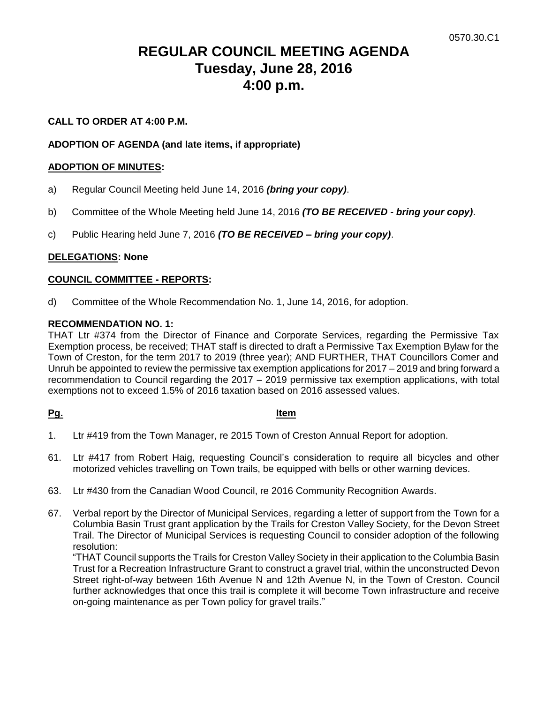# **REGULAR COUNCIL MEETING AGENDA Tuesday, June 28, 2016 4:00 p.m.**

# **CALL TO ORDER AT 4:00 P.M.**

# **ADOPTION OF AGENDA (and late items, if appropriate)**

#### **ADOPTION OF MINUTES:**

- a) Regular Council Meeting held June 14, 2016 *(bring your copy)*.
- b) Committee of the Whole Meeting held June 14, 2016 *(TO BE RECEIVED - bring your copy)*.
- c) Public Hearing held June 7, 2016 *(TO BE RECEIVED – bring your copy)*.

## **DELEGATIONS: None**

## **COUNCIL COMMITTEE - REPORTS:**

d) Committee of the Whole Recommendation No. 1, June 14, 2016, for adoption.

#### **RECOMMENDATION NO. 1:**

THAT Ltr #374 from the Director of Finance and Corporate Services, regarding the Permissive Tax Exemption process, be received; THAT staff is directed to draft a Permissive Tax Exemption Bylaw for the Town of Creston, for the term 2017 to 2019 (three year); AND FURTHER, THAT Councillors Comer and Unruh be appointed to review the permissive tax exemption applications for 2017 – 2019 and bring forward a recommendation to Council regarding the 2017 – 2019 permissive tax exemption applications, with total exemptions not to exceed 1.5% of 2016 taxation based on 2016 assessed values.

## **Pg. Item**

- 1. Ltr #419 from the Town Manager, re 2015 Town of Creston Annual Report for adoption.
- 61. Ltr #417 from Robert Haig, requesting Council's consideration to require all bicycles and other motorized vehicles travelling on Town trails, be equipped with bells or other warning devices.
- 63. Ltr #430 from the Canadian Wood Council, re 2016 Community Recognition Awards.
- 67. Verbal report by the Director of Municipal Services, regarding a letter of support from the Town for a Columbia Basin Trust grant application by the Trails for Creston Valley Society, for the Devon Street Trail. The Director of Municipal Services is requesting Council to consider adoption of the following resolution:

"THAT Council supports the Trails for Creston Valley Society in their application to the Columbia Basin Trust for a Recreation Infrastructure Grant to construct a gravel trial, within the unconstructed Devon Street right-of-way between 16th Avenue N and 12th Avenue N, in the Town of Creston. Council further acknowledges that once this trail is complete it will become Town infrastructure and receive on-going maintenance as per Town policy for gravel trails."